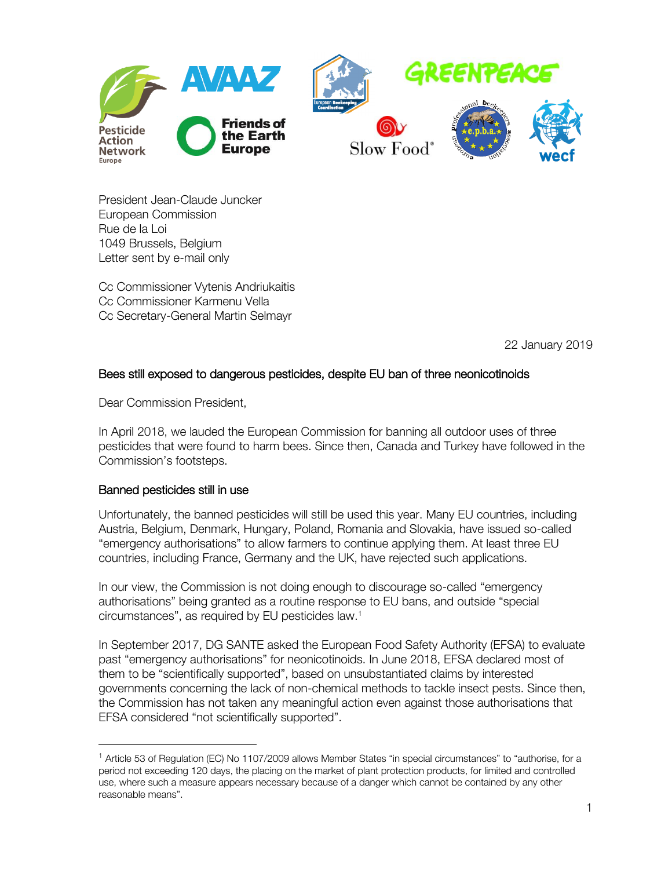

President Jean-Claude Juncker European Commission Rue de la Loi 1049 Brussels, Belgium Letter sent by e-mail only

Cc Commissioner Vytenis Andriukaitis Cc Commissioner Karmenu Vella Cc Secretary-General Martin Selmayr

22 January 2019

# Bees still exposed to dangerous pesticides, despite EU ban of three neonicotinoids

Dear Commission President,

In April 2018, we lauded the European Commission for banning all outdoor uses of three pesticides that were found to harm bees. Since then, Canada and Turkey have followed in the Commission's footsteps.

### Banned pesticides still in use

 $\overline{a}$ 

Unfortunately, the banned pesticides will still be used this year. Many EU countries, including Austria, Belgium, Denmark, Hungary, Poland, Romania and Slovakia, have issued so-called "emergency authorisations" to allow farmers to continue applying them. At least three EU countries, including France, Germany and the UK, have rejected such applications.

In our view, the Commission is not doing enough to discourage so-called "emergency authorisations" being granted as a routine response to EU bans, and outside "special circumstances", as required by EU pesticides law.<sup>1</sup>

In September 2017, DG SANTE asked the European Food Safety Authority (EFSA) to evaluate past "emergency authorisations" for neonicotinoids. In June 2018, EFSA declared most of them to be "scientifically supported", based on unsubstantiated claims by interested governments concerning the lack of non-chemical methods to tackle insect pests. Since then, the Commission has not taken any meaningful action even against those authorisations that EFSA considered "not scientifically supported".

<sup>1</sup> Article 53 of Regulation (EC) No 1107/2009 allows Member States "in special circumstances" to "authorise, for a period not exceeding 120 days, the placing on the market of plant protection products, for limited and controlled use, where such a measure appears necessary because of a danger which cannot be contained by any other reasonable means".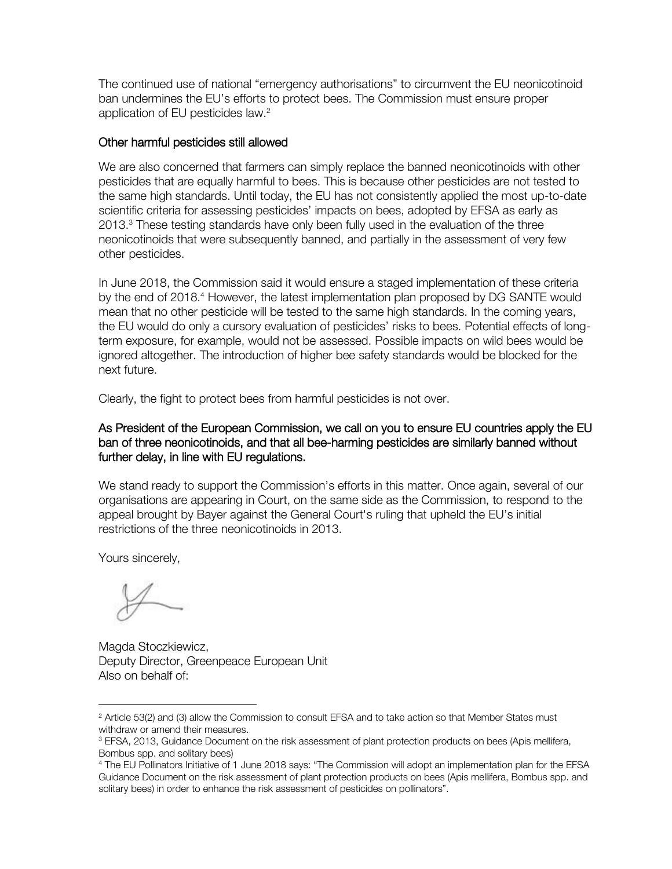The continued use of national "emergency authorisations" to circumvent the EU neonicotinoid ban undermines the EU's efforts to protect bees. The Commission must ensure proper application of EU pesticides law.<sup>2</sup>

### Other harmful pesticides still allowed

We are also concerned that farmers can simply replace the banned neonicotinoids with other pesticides that are equally harmful to bees. This is because other pesticides are not tested to the same high standards. Until today, the EU has not consistently applied the most up-to-date scientific criteria for assessing pesticides' impacts on bees, adopted by EFSA as early as 2013.<sup>3</sup> These testing standards have only been fully used in the evaluation of the three neonicotinoids that were subsequently banned, and partially in the assessment of very few other pesticides.

In June 2018, the Commission said it would ensure a staged implementation of these criteria by the end of 2018.<sup>4</sup> However, the latest implementation plan proposed by DG SANTE would mean that no other pesticide will be tested to the same high standards. In the coming years, the EU would do only a cursory evaluation of pesticides' risks to bees. Potential effects of longterm exposure, for example, would not be assessed. Possible impacts on wild bees would be ignored altogether. The introduction of higher bee safety standards would be blocked for the next future.

Clearly, the fight to protect bees from harmful pesticides is not over.

## As President of the European Commission, we call on you to ensure EU countries apply the EU ban of three neonicotinoids, and that all bee-harming pesticides are similarly banned without further delay, in line with EU regulations.

We stand ready to support the Commission's efforts in this matter. Once again, several of our organisations are appearing in Court, on the same side as the Commission, to respond to the appeal brought by Bayer against the General Court's ruling that upheld the EU's initial restrictions of the three neonicotinoids in 2013.

Yours sincerely,

 $\overline{a}$ 

Magda Stoczkiewicz, Deputy Director, Greenpeace European Unit Also on behalf of:

<sup>&</sup>lt;sup>2</sup> Article 53(2) and (3) allow the Commission to consult EFSA and to take action so that Member States must withdraw or amend their measures.

<sup>&</sup>lt;sup>3</sup> EFSA, 2013, Guidance Document on the risk assessment of plant protection products on bees (Apis mellifera, Bombus spp. and solitary bees)

<sup>4</sup> The EU Pollinators Initiative of 1 June 2018 says: "The Commission will adopt an implementation plan for the EFSA Guidance Document on the risk assessment of plant protection products on bees (Apis mellifera, Bombus spp. and solitary bees) in order to enhance the risk assessment of pesticides on pollinators".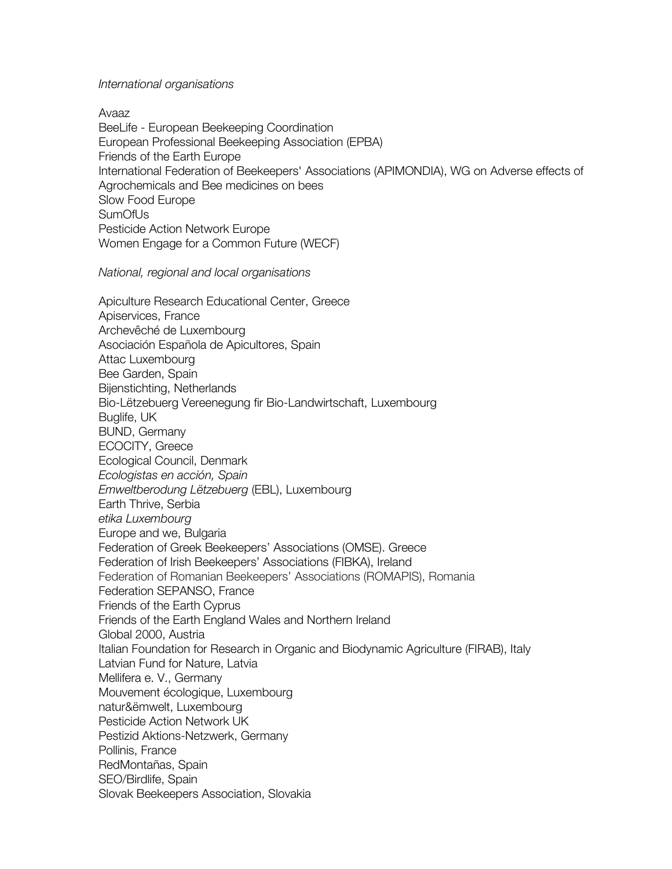#### *International organisations*

Avaaz BeeLife - European Beekeeping Coordination European Professional Beekeeping Association (EPBA) Friends of the Earth Europe International Federation of Beekeepers' Associations (APIMONDIA), WG on Adverse effects of Agrochemicals and Bee medicines on bees Slow Food Europe SumOfUs Pesticide Action Network Europe Women Engage for a Common Future (WECF)

*National, regional and local organisations* 

Apiculture Research Educational Center, Greece Apiservices, France Archevêché de Luxembourg Asociación Española de Apicultores, Spain Attac Luxembourg Bee Garden, Spain Bijenstichting, Netherlands Bio-Lëtzebuerg Vereenegung fir Bio-Landwirtschaft, Luxembourg Buglife, UK BUND, Germany ECOCITY, Greece Ecological Council, Denmark *Ecologistas en acción, Spain Emweltberodung Lëtzebuerg* (EBL), Luxembourg Earth Thrive, Serbia *etika Luxembourg* Europe and we, Bulgaria Federation of Greek Beekeepers' Associations (OMSE). Greece Federation of Irish Beekeepers' Associations (FIBKA), Ireland Federation of Romanian Beekeepers' Associations (ROMAPIS), Romania Federation SEPANSO, France Friends of the Earth Cyprus Friends of the Earth England Wales and Northern Ireland Global 2000, Austria Italian Foundation for Research in Organic and Biodynamic Agriculture (FIRAB), Italy Latvian Fund for Nature, Latvia Mellifera e. V., Germany Mouvement écologique, Luxembourg natur&ëmwelt, Luxembourg Pesticide Action Network UK Pestizid Aktions-Netzwerk, Germany Pollinis, France RedMontañas, Spain SEO/Birdlife, Spain Slovak Beekeepers Association, Slovakia